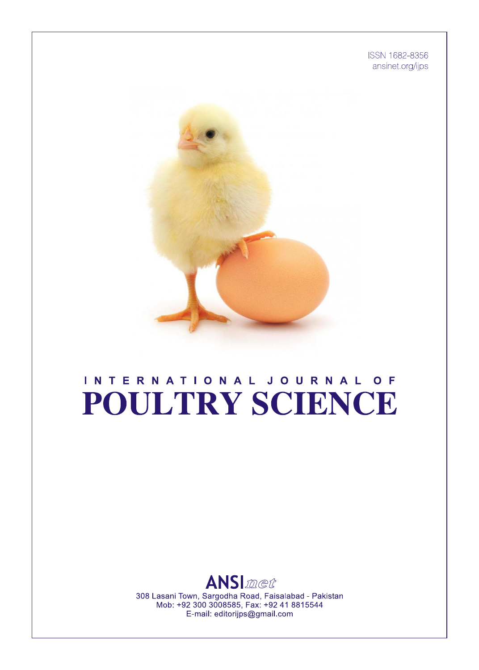ISSN 1682-8356 ansinet.org/ijps



# INTERNATIONAL JOURNAL OF POULTRY SCIENCE



308 Lasani Town, Sargodha Road, Faisalabad - Pakistan Mob: +92 300 3008585, Fax: +92 41 8815544 E-mail: editorijps@gmail.com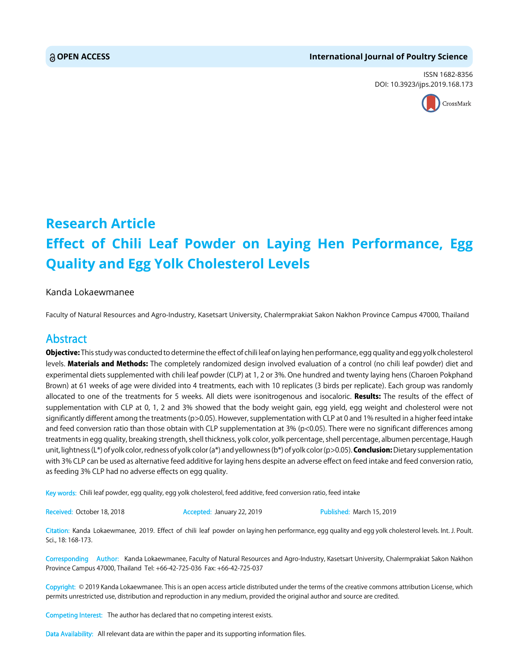#### **OPEN ACCESS International Journal of Poultry Science**

ISSN 1682-8356 DOI: 10.3923/ijps.2019.168.173



## **Research Article Effect of Chili Leaf Powder on Laying Hen Performance, Egg Quality and Egg Yolk Cholesterol Levels**

#### Kanda Lokaewmanee

Faculty of Natural Resources and Agro-Industry, Kasetsart University, Chalermprakiat Sakon Nakhon Province Campus 47000, Thailand

### Abstract

Objective: This study was conducted to determine the effect of chili leaf on laying hen performance, egg quality and egg yolk cholesterol levels. Materials and Methods: The completely randomized design involved evaluation of a control (no chili leaf powder) diet and experimental diets supplemented with chili leaf powder (CLP) at 1, 2 or 3%. One hundred and twenty laying hens (Charoen Pokphand Brown) at 61 weeks of age were divided into 4 treatments, each with 10 replicates (3 birds per replicate). Each group was randomly allocated to one of the treatments for 5 weeks. All diets were isonitrogenous and isocaloric. Results: The results of the effect of supplementation with CLP at 0, 1, 2 and 3% showed that the body weight gain, egg yield, egg weight and cholesterol were not significantly different among the treatments (p>0.05). However, supplementation with CLP at 0 and 1% resulted in a higher feed intake and feed conversion ratio than those obtain with CLP supplementation at  $3\%$  (p<0.05). There were no significant differences among treatments in egg quality, breaking strength, shell thickness, yolk color, yolk percentage, shell percentage, albumen percentage, Haugh unit, lightness (L\*) of yolk color, redness of yolk color (a\*) and yellowness (b\*) of yolk color (p>0.05). **Conclusion:** Dietary supplementation with 3% CLP can be used as alternative feed additive for laying hens despite an adverse effect on feed intake and feed conversion ratio, as feeding 3% CLP had no adverse effects on egg quality.

Key words: Chili leaf powder, egg quality, egg yolk cholesterol, feed additive, feed conversion ratio, feed intake

Received: October 18, 2018 **Accepted: January 22, 2019** Published: March 15, 2019

Citation: Kanda Lokaewmanee, 2019. Effect of chili leaf powder on laying hen performance, egg quality and egg yolk cholesterol levels. Int. J. Poult. Sci., 18: 168-173.

Corresponding Author: Kanda Lokaewmanee, Faculty of Natural Resources and Agro-Industry, Kasetsart University, Chalermprakiat Sakon Nakhon Province Campus 47000, Thailand Tel: +66-42-725-036 Fax: +66-42-725-037

Copyright: © 2019 Kanda Lokaewmanee. This is an open access article distributed under the terms of the creative commons attribution License, which permits unrestricted use, distribution and reproduction in any medium, provided the original author and source are credited.

Competing Interest: The author has declared that no competing interest exists.

Data Availability: All relevant data are within the paper and its supporting information files.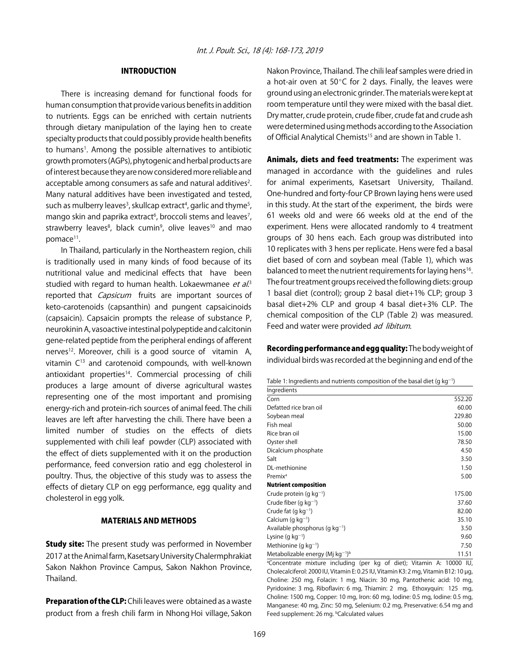#### INTRODUCTION

There is increasing demand for functional foods for human consumption that provide various benefits in addition to nutrients. Eggs can be enriched with certain nutrients through dietary manipulation of the laying hen to create specialty products that could possibly provide health benefits to humans<sup>1</sup>. Among the possible alternatives to antibiotic growth promoters (AGPs), phytogenic and herbal products are of interest because they are now considered more reliable and acceptable among consumers as safe and natural additives<sup>2</sup>. Many natural additives have been investigated and tested, such as mulberry leaves<sup>3</sup>, skullcap extract<sup>4</sup>, garlic and thyme<sup>5</sup>, mango skin and paprika extract<sup>6</sup>, broccoli stems and leaves<sup>7</sup>, strawberry leaves<sup>8</sup>, black cumin<sup>9</sup>, olive leaves<sup>10</sup> and mao pomace<sup>11</sup>.

In Thailand, particularly in the Northeastern region, chili is traditionally used in many kinds of food because of its nutritional value and medicinal effects that have been studied with regard to human health. Lokaewmanee *et al.*3 reported that *Capsicum* fruits are important sources of keto-carotenoids (capsanthin) and pungent capsaicinoids (capsaicin). Capsaicin prompts the release of substance P, neurokinin A, vasoactive intestinal polypeptide and calcitonin gene-related peptide from the peripheral endings of afferent nerves<sup>12</sup>. Moreover, chili is a good source of vitamin A, vitamin C13 and carotenoid compounds, with well-known antioxidant properties<sup>14</sup>. Commercial processing of chili produces a large amount of diverse agricultural wastes representing one of the most important and promising energy-rich and protein-rich sources of animal feed. The chili leaves are left after harvesting the chili. There have been a limited number of studies on the effects of diets supplemented with chili leaf powder (CLP) associated with the effect of diets supplemented with it on the production performance, feed conversion ratio and egg cholesterol in poultry. Thus, the objective of this study was to assess the effects of dietary CLP on egg performance, egg quality and cholesterol in egg yolk.

#### MATERIALS AND METHODS

**Study site:** The present study was performed in November 2017 at the Animal farm, Kasetsary University Chalermphrakiat Sakon Nakhon Province Campus, Sakon Nakhon Province, Thailand.

Preparation of the CLP: Chili leaves were obtained as a waste product from a fresh chili farm in Nhong Hoi village, Sakon Nakon Province, Thailand. The chili leaf samples were dried in a hot-air oven at 50 $\degree$ C for 2 days. Finally, the leaves were ground using an electronic grinder. The materials were kept at room temperature until they were mixed with the basal diet. Dry matter, crude protein, crude fiber, crude fat and crude ash were determined using methods according to the Association of Official Analytical Chemists<sup>15</sup> and are shown in Table 1.

Animals, diets and feed treatments: The experiment was managed in accordance with the guidelines and rules for animal experiments, Kasetsart University, Thailand. One-hundred and forty-four CP Brown laying hens were used in this study. At the start of the experiment, the birds were 61 weeks old and were 66 weeks old at the end of the experiment. Hens were allocated randomly to 4 treatment groups of 30 hens each. Each group was distributed into 10 replicates with 3 hens per replicate. Hens were fed a basal diet based of corn and soybean meal (Table 1), which was balanced to meet the nutrient requirements for laying hens<sup>16</sup>. The four treatment groups received the following diets: group 1 basal diet (control); group 2 basal diet+1% CLP; group 3 basal diet+2% CLP and group 4 basal diet+3% CLP. The chemical composition of the CLP (Table 2) was measured. Feed and water were provided ad libitum.

Recording performance and egg quality: The body weight of individual birds was recorded at the beginning and end of the

| Table 1: Ingredients and nutrients composition of the basal diet (g $kg^{-1}$ ) |  |
|---------------------------------------------------------------------------------|--|
|                                                                                 |  |

| Ingredients                          |        |
|--------------------------------------|--------|
| Corn                                 | 552.20 |
| Defatted rice bran oil               | 60.00  |
| Soybean meal                         | 229.80 |
| Fish meal                            | 50.00  |
| Rice bran oil                        | 15.00  |
| Oyster shell                         | 78.50  |
| Dicalcium phosphate                  | 4.50   |
| Salt                                 | 3.50   |
| DL-methionine                        | 1.50   |
| Premix <sup>a</sup>                  | 5.00   |
| <b>Nutrient composition</b>          |        |
| Crude protein (g $kg^{-1}$ )         | 175.00 |
| Crude fiber (g $kg^{-1}$ )           | 37.60  |
| Crude fat (g $kg^{-1}$ )             | 82.00  |
| Calcium (g $kg^{-1}$ )               | 35.10  |
| Available phosphorus (q $kg^{-1}$ )  | 3.50   |
| Lysine (g $kg^{-1}$ )                | 9.60   |
| Methionine (g $kg^{-1}$ )            | 7.50   |
| Metabolizable energy (Mj $kg^{-1}$ ) | 11.51  |

a Concentrate mixture including (per kg of diet); Vitamin A: 10000 IU, Cholecalciferol: 2000 IU, Vitamin E: 0.25 IU, Vitamin K3: 2 mg, Vitamin B12: 10 µg, Choline: 250 mg, Folacin: 1 mg, Niacin: 30 mg, Pantothenic acid: 10 mg, Pyridoxine: 3 mg, Riboflavin: 6 mg, Thiamin: 2 mg, Ethoxyquin: 125 mg, Choline: 1500 mg, Copper: 10 mg, Iron: 60 mg, Iodine: 0.5 mg, Iodine: 0.5 mg, Manganese: 40 mg, Zinc: 50 mg, Selenium: 0.2 mg, Preservative: 6.54 mg and Feed supplement: 26 mg. <sup>b</sup>Calculated values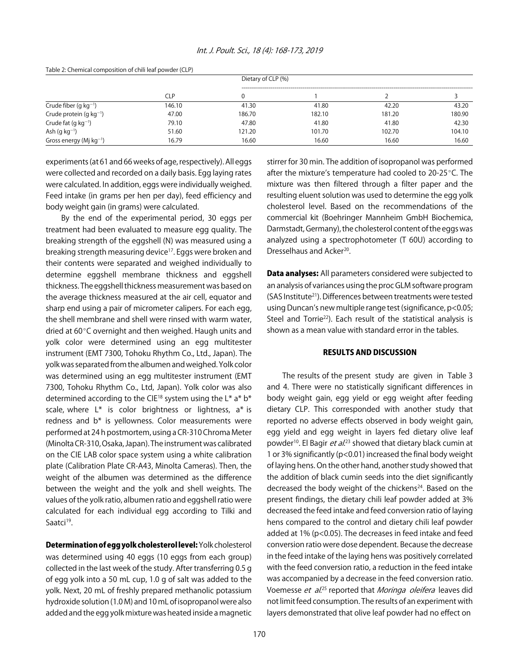| Table E. Chemical composition of chili ical powder (CEF) |            |        | Dietary of CLP (%) |        |        |  |  |
|----------------------------------------------------------|------------|--------|--------------------|--------|--------|--|--|
|                                                          | <b>CLP</b> | 0      |                    |        |        |  |  |
| Crude fiber (g $kg^{-1}$ )                               | 146.10     | 41.30  | 41.80              | 42.20  | 43.20  |  |  |
| Crude protein (g $kg^{-1}$ )                             | 47.00      | 186.70 | 182.10             | 181.20 | 180.90 |  |  |
| Crude fat $(g kg^{-1})$                                  | 79.10      | 47.80  | 41.80              | 41.80  | 42.30  |  |  |
| Ash (g $kg^{-1}$ )                                       | 51.60      | 121.20 | 101.70             | 102.70 | 104.10 |  |  |
| Gross energy (Mj $kg^{-1}$ )                             | 16.79      | 16.60  | 16.60              | 16.60  | 16.60  |  |  |

Table 2: Chemical composition of chili leaf powder (CLP)

experiments (at 61 and 66 weeks of age, respectively). All eggs were collected and recorded on a daily basis. Egg laying rates were calculated. In addition, eggs were individually weighed. Feed intake (in grams per hen per day), feed efficiency and body weight gain (in grams) were calculated.

By the end of the experimental period, 30 eggs per treatment had been evaluated to measure egg quality. The breaking strength of the eggshell (N) was measured using a breaking strength measuring device17. Eggs were broken and their contents were separated and weighed individually to determine eggshell membrane thickness and eggshell thickness. The eggshell thickness measurement was based on the average thickness measured at the air cell, equator and sharp end using a pair of micrometer calipers. For each egg, the shell membrane and shell were rinsed with warm water, dried at 60°C overnight and then weighed. Haugh units and yolk color were determined using an egg multitester instrument (EMT 7300, Tohoku Rhythm Co., Ltd., Japan). The yolk was separated from the albumen and weighed. Yolk color was determined using an egg multitester instrument (EMT 7300, Tohoku Rhythm Co., Ltd, Japan). Yolk color was also determined according to the CIE<sup>18</sup> system using the L\*  $a^* b^*$ scale, where  $L^*$  is color brightness or lightness,  $a^*$  is redness and b\* is yellowness. Color measurements were performed at 24 h postmortem, using a CR-310 Chroma Meter (Minolta CR-310, Osaka, Japan). The instrument was calibrated on the CIE LAB color space system using a white calibration plate (Calibration Plate CR-A43, Minolta Cameras). Then, the weight of the albumen was determined as the difference between the weight and the yolk and shell weights. The values of the yolk ratio, albumen ratio and eggshell ratio were calculated for each individual egg according to Tilki and Saatci<sup>19</sup>.

Determination of egg yolk cholesterol level: Yolk cholesterol was determined using 40 eggs (10 eggs from each group) collected in the last week of the study. After transferring 0.5 g of egg yolk into a 50 mL cup, 1.0 g of salt was added to the yolk. Next, 20 mL of freshly prepared methanolic potassium hydroxide solution (1.0 M) and 10 mL of isopropanol were also added and the egg yolk mixture was heated inside a magnetic stirrer for 30 min. The addition of isopropanol was performed after the mixture's temperature had cooled to  $20-25^{\circ}$ C. The mixture was then filtered through a filter paper and the resulting eluent solution was used to determine the egg yolk cholesterol level. Based on the recommendations of the commercial kit (Boehringer Mannheim GmbH Biochemica, Darmstadt, Germany), the cholesterol content of the eggs was analyzed using a spectrophotometer (T 60U) according to Dresselhaus and Acker<sup>20</sup>.

**Data analyses:** All parameters considered were subjected to an analysis of variances using the proc GLM software program (SAS Institute21). Differences between treatments were tested using Duncan's new multiple range test (significance, p<0.05; Steel and Torrie<sup>22</sup>). Each result of the statistical analysis is shown as a mean value with standard error in the tables.

#### RESULTS AND DISCUSSION

The results of the present study are given in Table 3 and 4. There were no statistically significant differences in body weight gain, egg yield or egg weight after feeding dietary CLP. This corresponded with another study that reported no adverse effects observed in body weight gain, egg yield and egg weight in layers fed dietary olive leaf powder<sup>10</sup>. El Bagir *et al*.<sup>23</sup> showed that dietary black cumin at 1 or 3% significantly (p<0.01) increased the final body weight of laying hens. On the other hand, another study showed that the addition of black cumin seeds into the diet significantly decreased the body weight of the chickens<sup>24</sup>. Based on the present findings, the dietary chili leaf powder added at 3% decreased the feed intake and feed conversion ratio of laying hens compared to the control and dietary chili leaf powder added at 1% (p<0.05). The decreases in feed intake and feed conversion ratio were dose dependent. Because the decrease in the feed intake of the laying hens was positively correlated with the feed conversion ratio, a reduction in the feed intake was accompanied by a decrease in the feed conversion ratio. Voemesse *et al.*<sup>25</sup> reported that *Moringa oleifera* leaves did not limit feed consumption. The results of an experiment with layers demonstrated that olive leaf powder had no effect on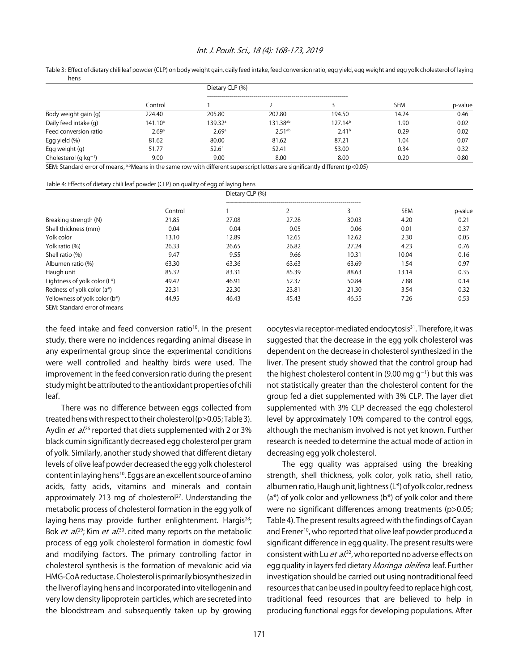#### Int. J. Poult. Sci., 18 (4): 168-173, 2019

Table 3: Effect of dietary chili leaf powder (CLP) on body weight gain, daily feed intake, feed conversion ratio, egg yield, egg weight and egg yolk cholesterol of laying hens

|                            | Control    | Dietary CLP (%) |                      |                     |            |         |
|----------------------------|------------|-----------------|----------------------|---------------------|------------|---------|
|                            |            |                 |                      |                     | <b>SEM</b> | p-value |
| Body weight gain (g)       | 224.40     | 205.80          | 202.80               | 194.50              | 14.24      | 0.46    |
| Daily feed intake (q)      | $141.10^a$ | 139.32ª         | 131.38 <sup>ab</sup> | 127.14 <sup>b</sup> | 1.90       | 0.02    |
| Feed conversion ratio      | 2.69a      | 2.69a           | $2.51^{ab}$          | 2.41 <sup>b</sup>   | 0.29       | 0.02    |
| Egg yield (%)              | 81.62      | 80.00           | 81.62                | 87.21               | 1.04       | 0.07    |
| Egg weight (g)             | 51.77      | 52.61           | 52.41                | 53.00               | 0.34       | 0.32    |
| Cholesterol (q $kq^{-1}$ ) | 9.00       | 9.00            | 8.00                 | 8.00                | 0.20       | 0.80    |

SEM: Standard error of means, <sup>a,b</sup>Means in the same row with different superscript letters are significantly different (p<0.05)

#### Table 4: Effects of dietary chili leaf powder (CLP) on quality of egg of laying hens

|                               | Control | Dietary CLP (%) |       |       |            |         |
|-------------------------------|---------|-----------------|-------|-------|------------|---------|
|                               |         |                 |       |       | <b>SEM</b> | p-value |
| Breaking strength (N)         | 21.85   | 27.08           | 27.28 | 30.03 | 4.20       | 0.21    |
| Shell thickness (mm)          | 0.04    | 0.04            | 0.05  | 0.06  | 0.01       | 0.37    |
| Yolk color                    | 13.10   | 12.89           | 12.65 | 12.62 | 2.30       | 0.05    |
| Yolk ratio (%)                | 26.33   | 26.65           | 26.82 | 27.24 | 4.23       | 0.76    |
| Shell ratio (%)               | 9.47    | 9.55            | 9.66  | 10.31 | 10.04      | 0.16    |
| Albumen ratio (%)             | 63.30   | 63.36           | 63.63 | 63.69 | 1.54       | 0.97    |
| Haugh unit                    | 85.32   | 83.31           | 85.39 | 88.63 | 13.14      | 0.35    |
| Lightness of yolk color (L*)  | 49.42   | 46.91           | 52.37 | 50.84 | 7.88       | 0.14    |
| Redness of yolk color (a*)    | 22.31   | 22.30           | 23.81 | 21.30 | 3.54       | 0.32    |
| Yellowness of yolk color (b*) | 44.95   | 46.43           | 45.43 | 46.55 | 7.26       | 0.53    |

SEM: Standard error of means

the feed intake and feed conversion ratio<sup>10</sup>. In the present study, there were no incidences regarding animal disease in any experimental group since the experimental conditions were well controlled and healthy birds were used. The improvement in the feed conversion ratio during the present study might be attributed to the antioxidant properties of chili leaf.

There was no difference between eggs collected from treated hens with respect to their cholesterol (p>0.05; Table 3). Aydin *et al.*<sup>26</sup> reported that diets supplemented with 2 or 3% black cumin significantly decreased egg cholesterol per gram of yolk. Similarly, another study showed that different dietary levels of olive leaf powder decreased the egg yolk cholesterol content in laying hens<sup>10</sup>. Eggs are an excellent source of amino acids, fatty acids, vitamins and minerals and contain approximately 213 mg of cholesterol<sup>27</sup>. Understanding the metabolic process of cholesterol formation in the egg yolk of laying hens may provide further enlightenment. Hargis<sup>28</sup>; Bok *et al.*<sup>29</sup>; Kim *et al.*<sup>30</sup>, cited many reports on the metabolic process of egg yolk cholesterol formation in domestic fowl and modifying factors. The primary controlling factor in cholesterol synthesis is the formation of mevalonic acid via HMG-CoA reductase. Cholesterol is primarily biosynthesized in the liver of laying hens and incorporated into vitellogenin and very low density lipoprotein particles, which are secreted into the bloodstream and subsequently taken up by growing

oocytes via receptor-mediated endocytosis<sup>31</sup>. Therefore, it was suggested that the decrease in the egg yolk cholesterol was dependent on the decrease in cholesterol synthesized in the liver. The present study showed that the control group had the highest cholesterol content in (9.00 mg g<sup>-1</sup>) but this was not statistically greater than the cholesterol content for the group fed a diet supplemented with 3% CLP. The layer diet supplemented with 3% CLP decreased the egg cholesterol level by approximately 10% compared to the control eggs, although the mechanism involved is not yet known. Further research is needed to determine the actual mode of action in decreasing egg yolk cholesterol.

The egg quality was appraised using the breaking strength, shell thickness, yolk color, yolk ratio, shell ratio, albumen ratio, Haugh unit, lightness (L\*) of yolk color, redness (a\*) of yolk color and yellowness (b\*) of yolk color and there were no significant differences among treatments (p>0.05; Table 4). The present results agreed with the findings of Cayan and Erener<sup>10</sup>, who reported that olive leaf powder produced a significant difference in egg quality. The present results were consistent with Lu *et al*.<sup>32</sup>, who reported no adverse effects on egg quality in layers fed dietary Moringa oleifera leaf. Further investigation should be carried out using nontraditional feed resources that can be used in poultry feed to replace high cost, traditional feed resources that are believed to help in producing functional eggs for developing populations. After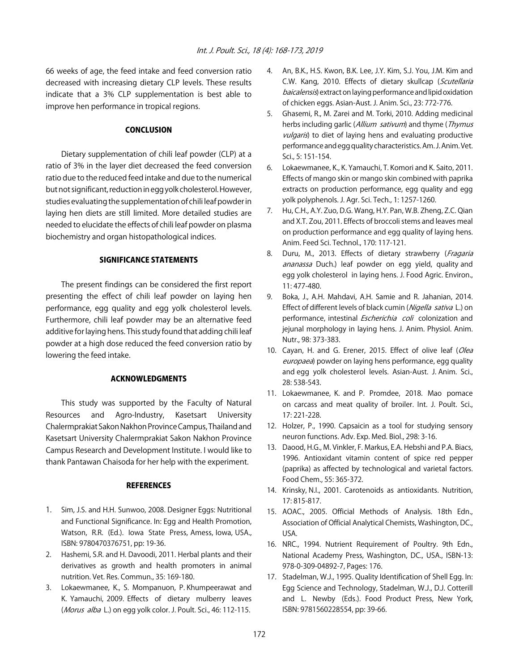66 weeks of age, the feed intake and feed conversion ratio decreased with increasing dietary CLP levels. These results indicate that a 3% CLP supplementation is best able to improve hen performance in tropical regions.

#### **CONCLUSION**

Dietary supplementation of chili leaf powder (CLP) at a ratio of 3% in the layer diet decreased the feed conversion ratio due to the reduced feed intake and due to the numerical but not significant, reduction in egg yolk cholesterol. However, studies evaluating the supplementation of chili leaf powder in laying hen diets are still limited. More detailed studies are needed to elucidate the effects of chili leaf powder on plasma biochemistry and organ histopathological indices.

#### SIGNIFICANCE STATEMENTS

The present findings can be considered the first report presenting the effect of chili leaf powder on laying hen performance, egg quality and egg yolk cholesterol levels. Furthermore, chili leaf powder may be an alternative feed additive for laying hens. This study found that adding chili leaf powder at a high dose reduced the feed conversion ratio by lowering the feed intake.

#### ACKNOWLEDGMENTS

This study was supported by the Faculty of Natural Resources and Agro-Industry, Kasetsart University Chalermprakiat Sakon Nakhon Province Campus, Thailand and Kasetsart University Chalermprakiat Sakon Nakhon Province Campus Research and Development Institute. I would like to thank Pantawan Chaisoda for her help with the experiment.

#### **REFERENCES**

- 1. Sim, J.S. and H.H. Sunwoo, 2008. Designer Eggs: Nutritional and Functional Significance. In: Egg and Health Promotion, Watson, R.R. (Ed.). Iowa State Press, Amess, Iowa, USA., ISBN: 9780470376751, pp: 19-36.
- 2. Hashemi, S.R. and H. Davoodi, 2011. Herbal plants and their derivatives as growth and health promoters in animal nutrition. Vet. Res. Commun., 35: 169-180.
- 3. Lokaewmanee, K., S. Mompanuon, P. Khumpeerawat and K. Yamauchi, 2009. Effects of dietary mulberry leaves (*Morus alba* L.) on egg yolk color. J. Poult. Sci., 46: 112-115.
- 4. An, B.K., H.S. Kwon, B.K. Lee, J.Y. Kim, S.J. You, J.M. Kim and C.W. Kang, 2010. Effects of dietary skullcap (Scutellaria baicalensis) extract on laying performance and lipid oxidation of chicken eggs. Asian-Aust. J. Anim. Sci., 23: 772-776.
- 5. Ghasemi, R., M. Zarei and M. Torki, 2010. Adding medicinal herbs including garlic (Allium sativum) and thyme (Thymus vulgaris) to diet of laying hens and evaluating productive performance and egg quality characteristics. Am. J. Anim. Vet. Sci., 5: 151-154.
- 6. Lokaewmanee, K., K. Yamauchi, T. Komori and K. Saito, 2011. Effects of mango skin or mango skin combined with paprika extracts on production performance, egg quality and egg yolk polyphenols. J. Agr. Sci. Tech., 1: 1257-1260.
- 7. Hu, C.H., A.Y. Zuo, D.G. Wang, H.Y. Pan, W.B. Zheng, Z.C. Qian and X.T. Zou, 2011. Effects of broccoli stems and leaves meal on production performance and egg quality of laying hens. Anim. Feed Sci. Technol., 170: 117-121.
- 8. Duru, M., 2013. Effects of dietary strawberry (Fragaria ananassa Duch.) leaf powder on egg yield, quality and egg yolk cholesterol in laying hens. J. Food Agric. Environ., 11: 477-480.
- 9. Boka, J., A.H. Mahdavi, A.H. Samie and R. Jahanian, 2014. Effect of different levels of black cumin (Nigella sativa L.) on performance, intestinal *Escherichia coli* colonization and jejunal morphology in laying hens. J. Anim. Physiol. Anim. Nutr., 98: 373-383.
- 10. Cayan, H. and G. Erener, 2015. Effect of olive leaf (Olea europaea) powder on laying hens performance, egg quality and egg yolk cholesterol levels. Asian-Aust. J. Anim. Sci., 28: 538-543.
- 11. Lokaewmanee, K. and P. Promdee, 2018. Mao pomace on carcass and meat quality of broiler. Int. J. Poult. Sci., 17: 221-228.
- 12. Holzer, P., 1990. Capsaicin as a tool for studying sensory neuron functions. Adv. Exp. Med. Biol., 298: 3-16.
- 13. Daood, H.G., M. Vinkler, F. Markus, E.A. Hebshi and P.A. Biacs, 1996. Antioxidant vitamin content of spice red pepper (paprika) as affected by technological and varietal factors. Food Chem., 55: 365-372.
- 14. Krinsky, N.I., 2001. Carotenoids as antioxidants. Nutrition, 17: 815-817.
- 15. AOAC., 2005. Official Methods of Analysis. 18th Edn., Association of Official Analytical Chemists, Washington, DC., USA.
- 16. NRC., 1994. Nutrient Requirement of Poultry. 9th Edn., National Academy Press, Washington, DC., USA., ISBN-13: 978-0-309-04892-7, Pages: 176.
- 17. Stadelman, W.J., 1995. Quality Identification of Shell Egg. In: Egg Science and Technology, Stadelman, W.J., D.J. Cotterill and L. Newby (Eds.). Food Product Press, New York, ISBN: 9781560228554, pp: 39-66.